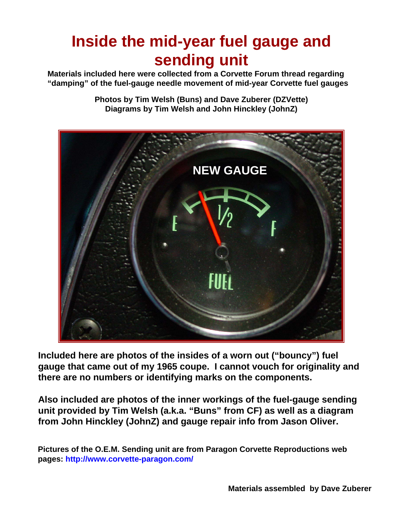# **Inside the mid-year fuel gauge and Inside the mid-year fuel gauge and sending unit sending unit**

**Materials included here were collected from a Corvette Forum thread regarding "damping" of the fuel-gauge needle movement of mid-year Corvette fuel gauges**

> **Photos by Tim Welsh (Buns) and Dave Zuberer (DZVette) Diagrams by Tim Welsh and John Hinckley (JohnZ)**



**Included here are photos of the insides of a worn out ("bouncy") fuel gauge that came out of my 1965 coupe. I cannot vouch for originality and there are no numbers or identifying marks on the components.**

**Also included are photos of the inner workings of the fuel-gauge sending unit provided by Tim Welsh (a.k.a. "Buns" from CF) as well as a diagram from John Hinckley (JohnZ) and gauge repair info from Jason Oliver.**

**Pictures of the O.E.M. Sending unit are from Paragon Corvette Reproductions web pages: http://www.corvette-paragon.com/**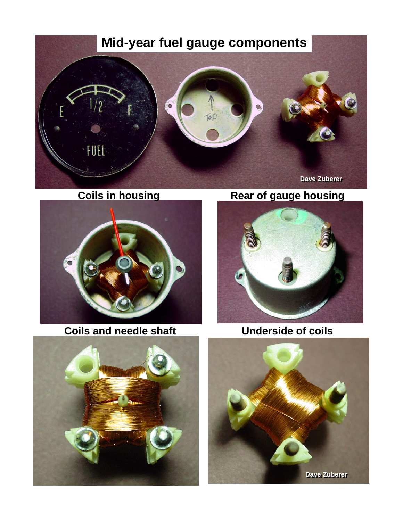## **Mid-year fuel gauge components**





**Coils and needle shaft <b>Underside of coils** 

**Coils in housing The Rear of gauge housing** 





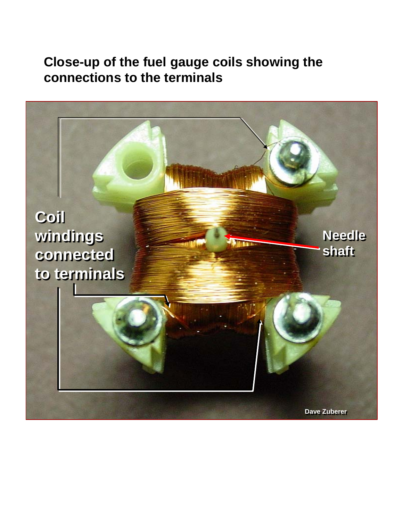**Close-up of the fuel gauge coils showing the connections to the terminals**

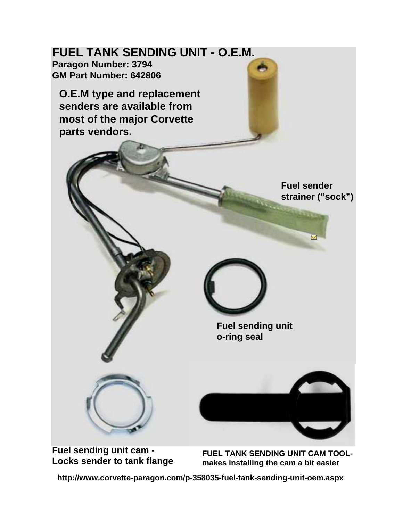

**Locks sender to tank flange**

**FUEL TANK SENDING UNIT CAM TOOLmakes installing the cam a bit easier** 

**http://www.corvette-paragon.com/p-358035-fuel-tank-sending-unit-oem.aspx**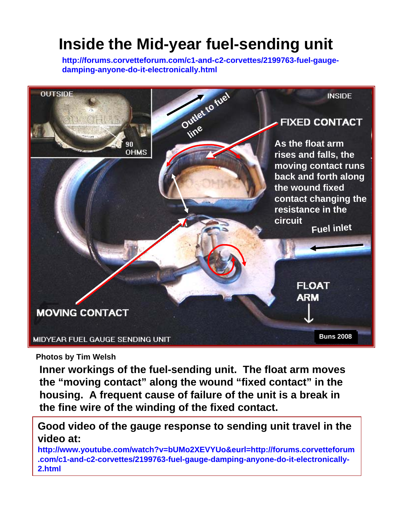# **Inside the Mid-year fuel-sending unit**

**http://forums.corvetteforum.com/c1-and-c2-corvettes/2199763-fuel-gaugedamping-anyone-do-it-electronically.html**



**Photos by Tim Welsh**

**Inner workings of the fuel-sending unit. The float arm moves the "moving contact" along the wound "fixed contact" in the housing. A frequent cause of failure of the unit is a break in the fine wire of the winding of the fixed contact.**

**Good video of the gauge response to sending unit travel in the video at:**

**http://www.youtube.com/watch?v=bUMo2XEVYUo&eurl=http://forums.corvetteforum .com/c1-and-c2-corvettes/2199763-fuel-gauge-damping-anyone-do-it-electronically-2.html**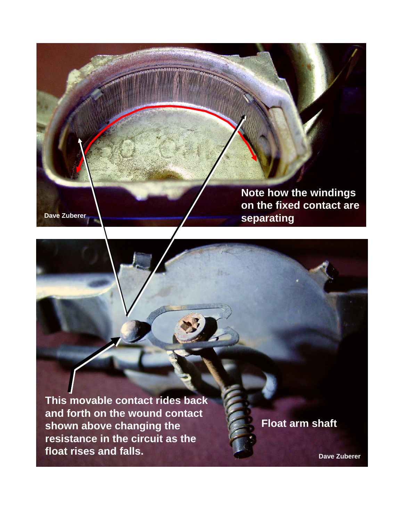

### **Note how the windings on the fixed contact are separating**

**This movable contact rides back and forth on the wound contact shown above changing the resistance in the circuit as the float rises and falls.**

**Float arm shaft**

**Dave Zuberer**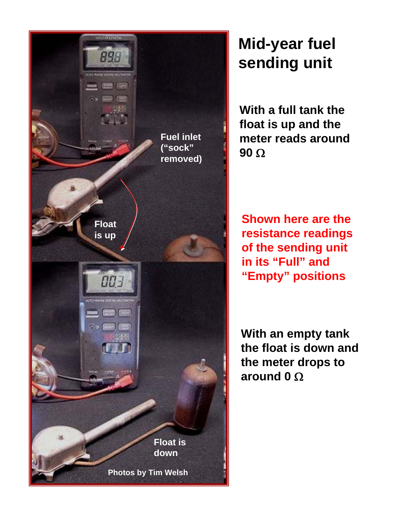

# **Mid-year fuel sending unit**

**With a full tank the float is up and the meter reads around 90** Ω

**Shown here are the resistance readings of the sending unit in its "Full" and "Empty" positions**

**With an empty tank the float is down and the meter drops to around 0** Ω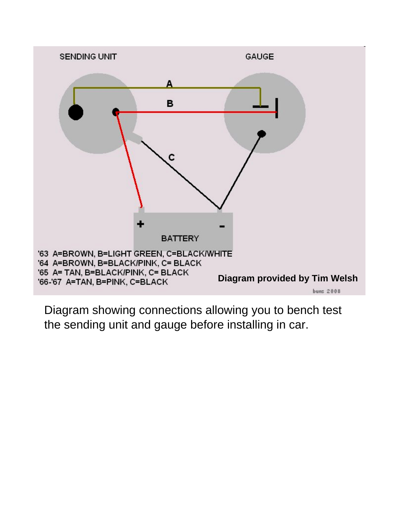

Diagram showing connections allowing you to bench test the sending unit and gauge before installing in car.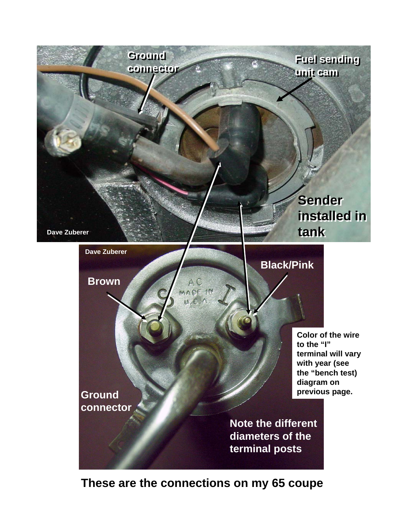

### **These are the connections on my 65 coupe**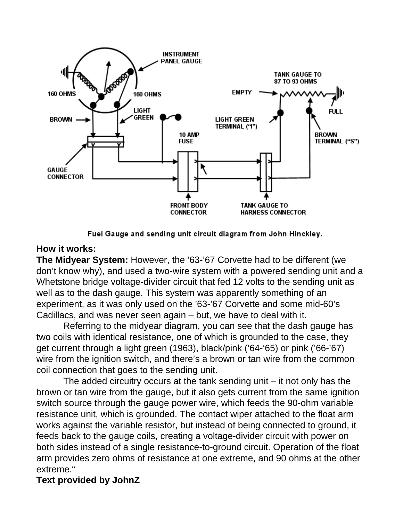

Fuel Gauge and sending unit circuit diagram from John Hinckley.

#### **How it works:**

**The Midyear System:** However, the '63-'67 Corvette had to be different (we don't know why), and used a two-wire system with a powered sending unit and a Whetstone bridge voltage-divider circuit that fed 12 volts to the sending unit as well as to the dash gauge. This system was apparently something of an experiment, as it was only used on the '63-'67 Corvette and some mid-60's Cadillacs, and was never seen again – but, we have to deal with it.

Referring to the midyear diagram, you can see that the dash gauge has two coils with identical resistance, one of which is grounded to the case, they get current through a light green (1963), black/pink ('64-'65) or pink ('66-'67) wire from the ignition switch, and there's a brown or tan wire from the common coil connection that goes to the sending unit.

The added circuitry occurs at the tank sending unit – it not only has the brown or tan wire from the gauge, but it also gets current from the same ignition switch source through the gauge power wire, which feeds the 90-ohm variable resistance unit, which is grounded. The contact wiper attached to the float arm works against the variable resistor, but instead of being connected to ground, it feeds back to the gauge coils, creating a voltage-divider circuit with power on both sides instead of a single resistance-to-ground circuit. Operation of the float arm provides zero ohms of resistance at one extreme, and 90 ohms at the other extreme."

#### **Text provided by JohnZ**